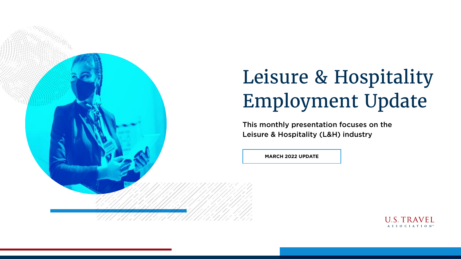

# Leisure & Hospitality Employment Update

**MARCH 2022 UPDATE**





This monthly presentation focuses on the Leisure & Hospitality (L&H) industry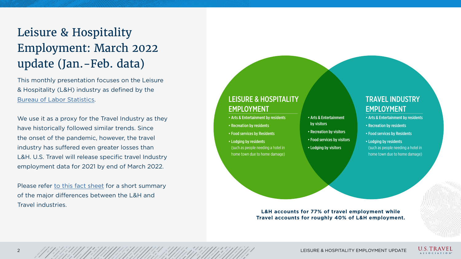### LEISURE & HOSPITALITY EMPLOYMENT

### TRAVEL INDUSTRY EMPLOYMENT

- Arts & Entertainment by residents
- Recreation by residents
- Food services by Residents
- Lodging by residents (such as people needing a hotel in home town due to home damage)
- Arts & Entertainment by visitors
- Recreation by visitors
- Food services by visitors
- Lodging by visitors
- Arts & Entertainment by residents
- Recreation by residents
- Food services by Residents
- Lodging by residents (such as people needing a hotel in home town due to home damage)

We use it as a proxy for the Travel Industry as they have historically followed similar trends. Since the onset of the pandemic, however, the travel industry has suffered even greater losses than L&H. U.S. Travel will release specific travel Industry employment data for 2021 by end of March 2022.

This monthly presentation focuses on the Leisure & Hospitality (L&H) industry as defined by the [Bureau of Labor Statistics.](https://www.bls.gov/iag/tgs/iag70.htm)

Please refer [to this fact sheet](https://www.ustravel.org/system/files/media_root/document/LH-vs-TravelJobs.pdf) for a short summary of the major differences between the L&H and Travel industries.

## Leisure & Hospitality Employment: March 2022 update (Jan.-Feb. data)

**L&H accounts for 77% of travel employment while Travel accounts for roughly 40% of L&H employment.**

2 LEISURE & HOSPITALITY EMPLOYMENT UPDATE





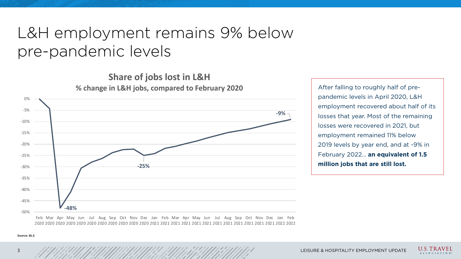## L&H employment remains 9% below pre-pandemic levels

After falling to roughly half of prepandemic levels in April 2020, L&H employment recovered about half of its losses that year. Most of the remaining losses were recovered in 2021, but employment remained 11% below 2019 levels by year end, and at -9% in February 2022… **an equivalent of 1.5 million jobs that are still lost.**

2020 2020 2020 2020 2020 2020 2020 2020 2020 2021 2021 2021 2021 2021 2021 2021 2021 2021 2021 2021 2022 2022

3 LEISURE & HOSPITALITY EMPLOYMENT UPDATE







**Share of jobs lost in L&H**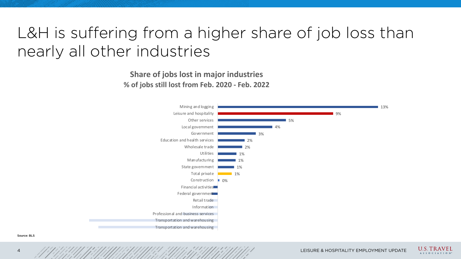## L&H is suffering from a higher share of job loss than nearly all other industries

|                   |       |    |    |      |    | 13% |
|-------------------|-------|----|----|------|----|-----|
|                   |       |    |    | $5%$ | 9% |     |
|                   |       |    | 4% |      |    |     |
|                   |       | 3% |    |      |    |     |
|                   | 2%    |    |    |      |    |     |
|                   | 2%    |    |    |      |    |     |
|                   | $1\%$ |    |    |      |    |     |
|                   | $1\%$ |    |    |      |    |     |
|                   | $1\%$ |    |    |      |    |     |
|                   | $1\%$ |    |    |      |    |     |
| $\blacksquare$ 0% |       |    |    |      |    |     |
|                   |       |    |    |      |    |     |
|                   |       |    |    |      |    |     |
|                   |       |    |    |      |    |     |
|                   |       |    |    |      |    |     |
|                   |       |    |    |      |    |     |
|                   |       |    |    |      |    |     |
|                   |       |    |    |      |    |     |





Mining and logging Leisure and hospitality Other services Local government Government Education and health services Wholesale trade **Utilities Manufacturing** State government Total private **Construction** Financial activities Federal government Retail trade Information Professional and business services Transportation and warehousing Transportation and warehousing

**Share of jobs lost in major industries % of jobs still lost from Feb. 2020 - Feb. 2022**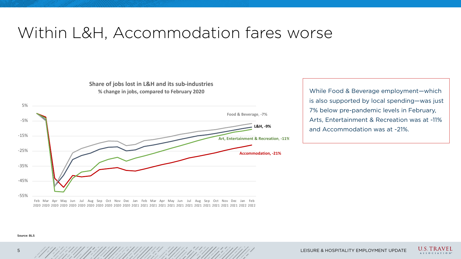## Within L&H, Accommodation fares worse

While Food & Beverage employment—which is also supported by local spending—was just 7% below pre-pandemic levels in February, Arts, Entertainment & Recreation was at -11% and Accommodation was at -21%.

5 LEISURE & HOSPITALITY EMPLOYMENT UPDATE





### Source: BLS



**Share of jobs lost in L&H and its sub-industries % change in jobs, compared to February 2020**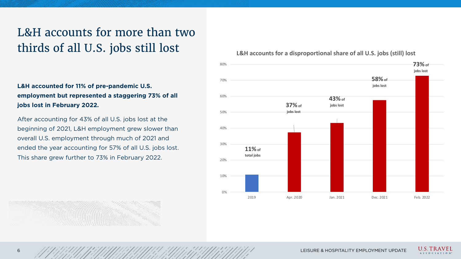

### **L&H accounts for a disproportional share of all U.S. jobs (still) lost**

6 HOSPITALITY EMPLOYMENT UPDATE





### L&H accounts for more than two thirds of all U.S. jobs still lost

**L&H accounted for 11% of pre-pandemic U.S. employment but represented a staggering 73% of all jobs lost in February 2022.**

After accounting for 43% of all U.S. jobs lost at the beginning of 2021, L&H employment grew slower than overall U.S. employment through much of 2021 and ended the year accounting for 57% of all U.S. jobs lost. This share grew further to 73% in February 2022.

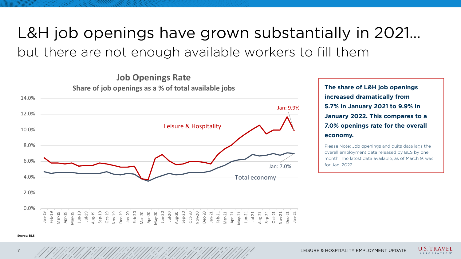# L&H job openings have grown substantially in 2021… but there are not enough available workers to fill them

**The share of L&H job openings increased dramatically from 5.7% in January 2021 to 9.9% in January 2022. This compares to a 7.0% openings rate for the overall economy.**

Please Note: Job openings and quits data lags the overall employment data released by BLS by one month. The latest data available, as of March 9, was

LEISURE & HOSPITALITY EMPLOYMENT UPDATE



**U.S. TRAVEL** A S S O C I A T I O N



**Job Openings Rate**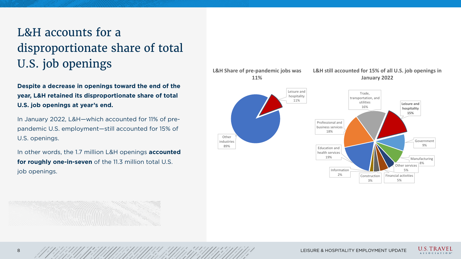

**L&H still accounted for 15% of all U.S. job openings in** 

8 LEISURE & HOSPITALITY EMPLOYMENT UPDATE



## L&H accounts for a disproportionate share of total U.S. job openings

**Despite a decrease in openings toward the end of the year, L&H retained its disproportionate share of total U.S. job openings at year's end.** 

In January 2022, L&H—which accounted for 11% of prepandemic U.S. employment—still accounted for 15% of U.S. openings.

In other words, the 1.7 million L&H openings **accounted for roughly one-in-seven** of the 11.3 million total U.S. job openings.

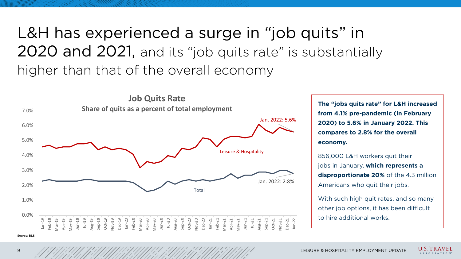9 LEISURE & HOSPITALITY EMPLOYMENT UPDATE





**U.S. TRAVEL** A S S O C I A T I O N

**The "jobs quits rate" for L&H increased from 4.1% pre-pandemic (in February 2020) to 5.6% in January 2022. This compares to 2.8% for the overall economy.**

With such high quit rates, and so many other job options, it has been difficult to hire additional works.

856,000 L&H workers quit their jobs in January, **which represents a disproportionate 20%** of the 4.3 million Americans who quit their jobs.

# L&H has experienced a surge in "job quits" in 2020 and 2021, and its "job quits rate" is substantially higher than that of the overall economy



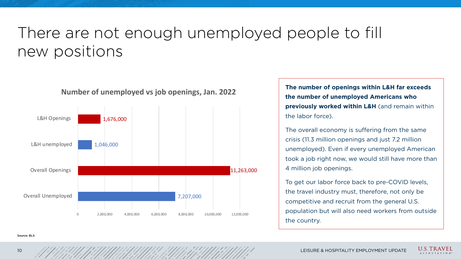



## There are not enough unemployed people to fill new positions

**The number of openings within L&H far exceeds the number of unemployed Americans who previously worked within L&H** (and remain within the labor force).

The overall economy is suffering from the same crisis (11.3 million openings and just 7.2 million unemployed). Even if every unemployed American took a job right now, we would still have more than 4 million job openings.

To get our labor force back to pre-COVID levels, the travel industry must, therefore, not only be competitive and recruit from the general U.S. population but will also need workers from outside the country.

11,263,000



**Number of unemployed vs job openings, Jan. 2022**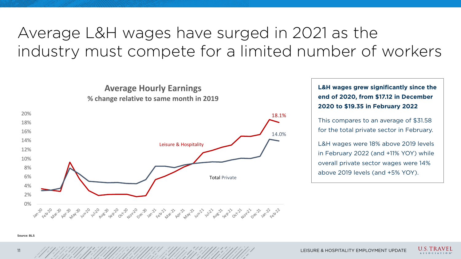# Average L&H wages have surged in 2021 as the industry must compete for a limited number of workers

**L&H wages grew significantly since the end of 2020, from \$17.12 in December 2020 to \$19.35 in February 2022**

This compares to an average of \$31.58 for the total private sector in February.

L&H wages were 18% above 2019 levels in February 2022 (and +11% YOY) while overall private sector wages were 14% above 2019 levels (and +5% YOY).

LEISURE & HOSPITALITY EMPLOYMENT UPDATE







**U.S. TRAVEL** SSOCIATION

18.1% 14.0%



**Average Hourly Earnings**

Total Private